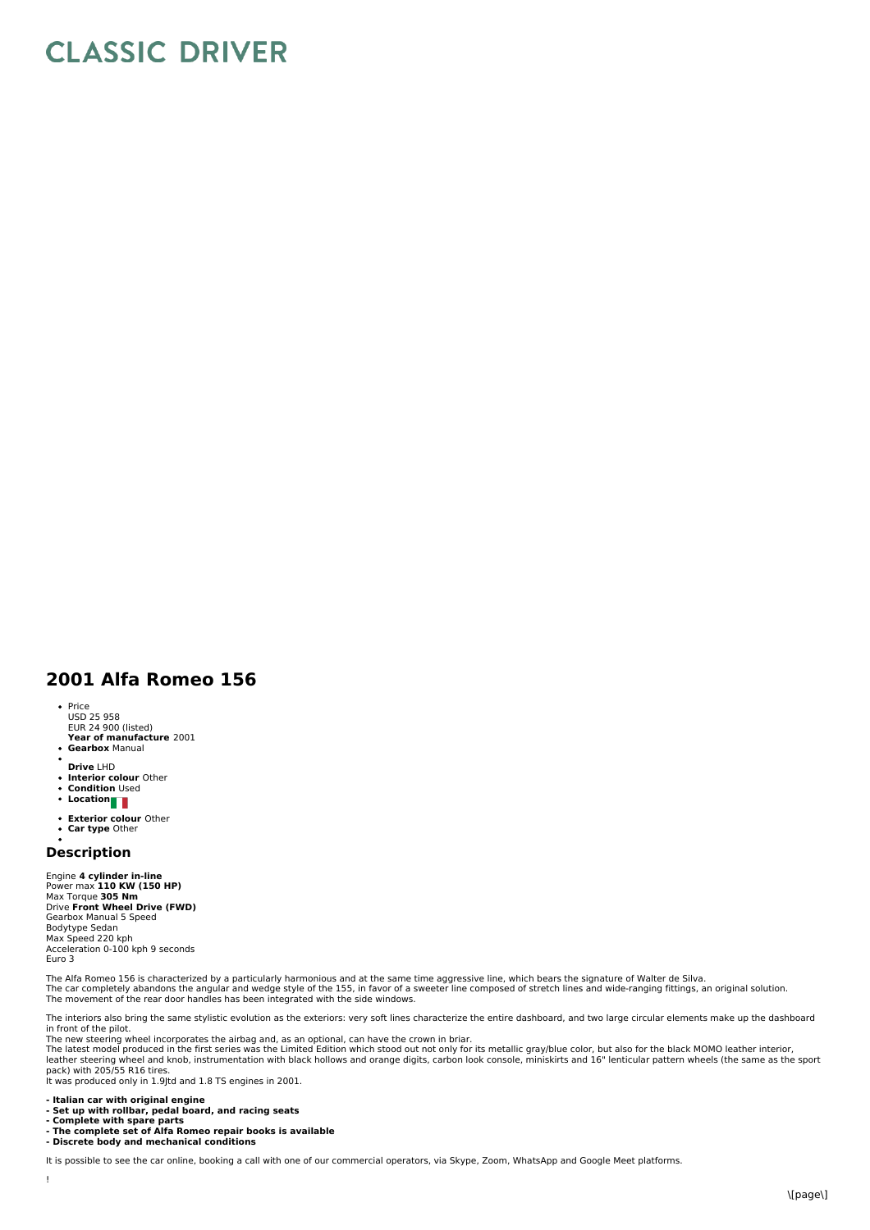## **CLASSIC DRIVER**

## **2001 Alfa Romeo 156**

- Price
- USD 25 958 EUR 24 900 (listed)
- **Year of manufacture** 2001 **Gearbox** Manual
- 
- **Drive** LHD
- **Interior colour** Other **Condition** Used
- **Condition**<br>• Location
- 
- **Exterior colour** Other
- **Car type** Other

## **Description**

Engine **4 cylinder in-line** Power max **110 KW (150 HP)** Max Torque **305 Nm** Drive **Front Wheel Drive (FWD)** Gearbox Manual 5 Speed Bodytype Sedan Max Speed 220 kph Acceleration 0-100 kph 9 seconds Euro 3

The Alfa Romeo 156 is characterized by a particularly harmonious and at the same time aggressive line, which bears the signature of Walter de Silva.<br>The car completely abandons the angular and wedge style of the 155, in fa The movement of the rear door handles has been integrated with the side windows.

The interiors also bring the same stylistic evolution as the exteriors: very soft lines characterize the entire dashboard, and two large circular elements make up the dashboard in front of the pilot.

The new steering wheel incorporates the airbag and, as an optional, can have the crown in briar.<br>The latest model produced in the first series was the Limited Edition which stood out not only for its metallic gray/blue col leather steering wheel and knob, instrumentation with black hollows and orange digits, carbon look console, miniskirts and 16" lenticular pattern wheels (the same as the sport<br>pack) with 205/55 R16 tires.

It was produced only in 1.9Jtd and 1.8 TS engines in 2001.

- **- Italian car with original engine**
- 
- **- Set up with rollbar, pedal board, and racing seats - Complete with spare parts**
- **- The complete set of Alfa Romeo repair books is available**
- **- Discrete body and mechanical conditions**

It is possible to see the car online, booking a call with one of our commercial operators, via Skype, Zoom, WhatsApp and Google Meet platforms.